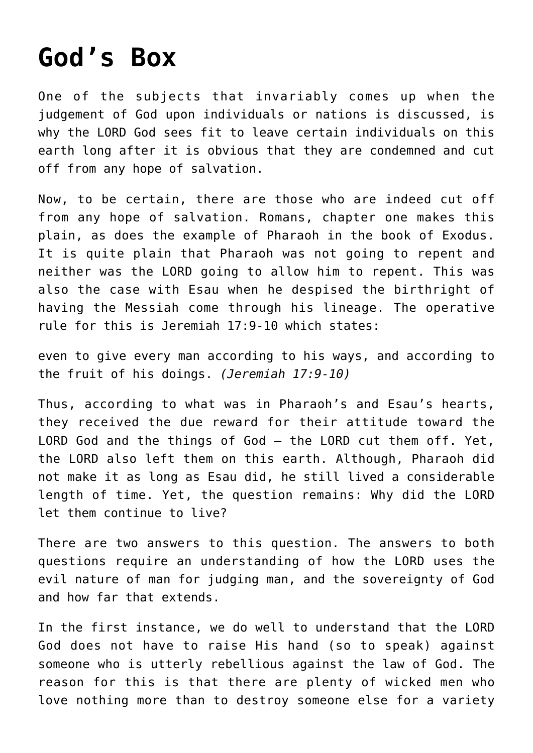## **[God's Box](http://reproachofmen.org/2008/02/gods-box/)**

One of the subjects that invariably comes up when the judgement of God upon individuals or nations is discussed, is why the LORD God sees fit to leave certain individuals on this earth long after it is obvious that they are condemned and cut off from any hope of salvation.

Now, to be certain, there are those who are indeed cut off from any hope of salvation. Romans, chapter one makes this plain, as does the example of Pharaoh in the book of Exodus. It is quite plain that Pharaoh was not going to repent and neither was the LORD going to allow him to repent. This was also the case with Esau when he despised the birthright of having the Messiah come through his lineage. The operative rule for this is Jeremiah 17:9-10 which states:

even to give every man according to his ways, and according to the fruit of his doings. *(Jeremiah 17:9-10)*

Thus, according to what was in Pharaoh's and Esau's hearts, they received the due reward for their attitude toward the LORD God and the things of God — the LORD cut them off. Yet, the LORD also left them on this earth. Although, Pharaoh did not make it as long as Esau did, he still lived a considerable length of time. Yet, the question remains: Why did the LORD let them continue to live?

There are two answers to this question. The answers to both questions require an understanding of how the LORD uses the evil nature of man for judging man, and the sovereignty of God and how far that extends.

In the first instance, we do well to understand that the LORD God does not have to raise His hand (so to speak) against someone who is utterly rebellious against the law of God. The reason for this is that there are plenty of wicked men who love nothing more than to destroy someone else for a variety